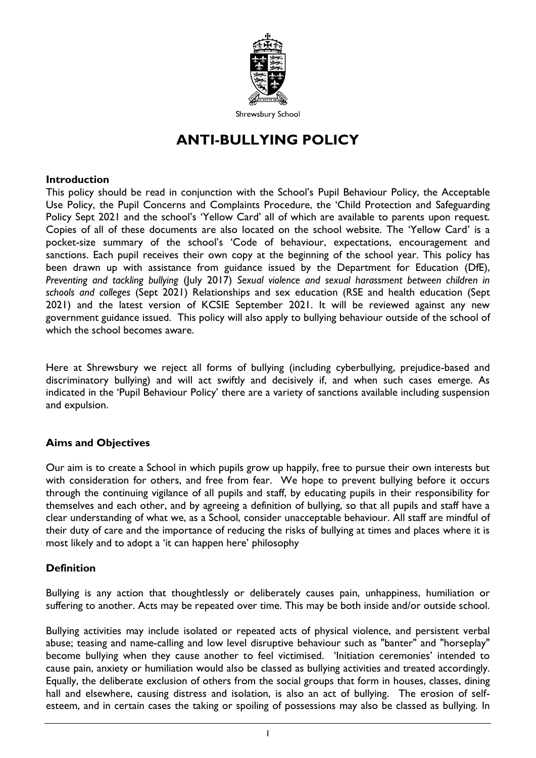

Shrewsbury School

# **ANTI-BULLYING POLICY**

#### **Introduction**

This policy should be read in conjunction with the School's Pupil Behaviour Policy, the Acceptable Use Policy, the Pupil Concerns and Complaints Procedure, the 'Child Protection and Safeguarding Policy Sept 2021 and the school's 'Yellow Card' all of which are available to parents upon request. Copies of all of these documents are also located on the school website. The 'Yellow Card' is a pocket-size summary of the school's 'Code of behaviour, expectations, encouragement and sanctions. Each pupil receives their own copy at the beginning of the school year. This policy has been drawn up with assistance from guidance issued by the Department for Education (DfE), *Preventing and tackling bullying* (July 2017) *Sexual violence and sexual harassment between children in schools and colleges* (Sept 2021) Relationships and sex education (RSE and health education (Sept 2021) and the latest version of KCSIE September 2021. It will be reviewed against any new government guidance issued. This policy will also apply to bullying behaviour outside of the school of which the school becomes aware.

Here at Shrewsbury we reject all forms of bullying (including cyberbullying, prejudice-based and discriminatory bullying) and will act swiftly and decisively if, and when such cases emerge. As indicated in the 'Pupil Behaviour Policy' there are a variety of sanctions available including suspension and expulsion.

## **Aims and Objectives**

Our aim is to create a School in which pupils grow up happily, free to pursue their own interests but with consideration for others, and free from fear. We hope to prevent bullying before it occurs through the continuing vigilance of all pupils and staff, by educating pupils in their responsibility for themselves and each other, and by agreeing a definition of bullying, so that all pupils and staff have a clear understanding of what we, as a School, consider unacceptable behaviour. All staff are mindful of their duty of care and the importance of reducing the risks of bullying at times and places where it is most likely and to adopt a 'it can happen here' philosophy

## **Definition**

Bullying is any action that thoughtlessly or deliberately causes pain, unhappiness, humiliation or suffering to another. Acts may be repeated over time. This may be both inside and/or outside school.

Bullying activities may include isolated or repeated acts of physical violence, and persistent verbal abuse; teasing and name-calling and low level disruptive behaviour such as "banter" and "horseplay" become bullying when they cause another to feel victimised. 'Initiation ceremonies' intended to cause pain, anxiety or humiliation would also be classed as bullying activities and treated accordingly. Equally, the deliberate exclusion of others from the social groups that form in houses, classes, dining hall and elsewhere, causing distress and isolation, is also an act of bullying. The erosion of selfesteem, and in certain cases the taking or spoiling of possessions may also be classed as bullying. In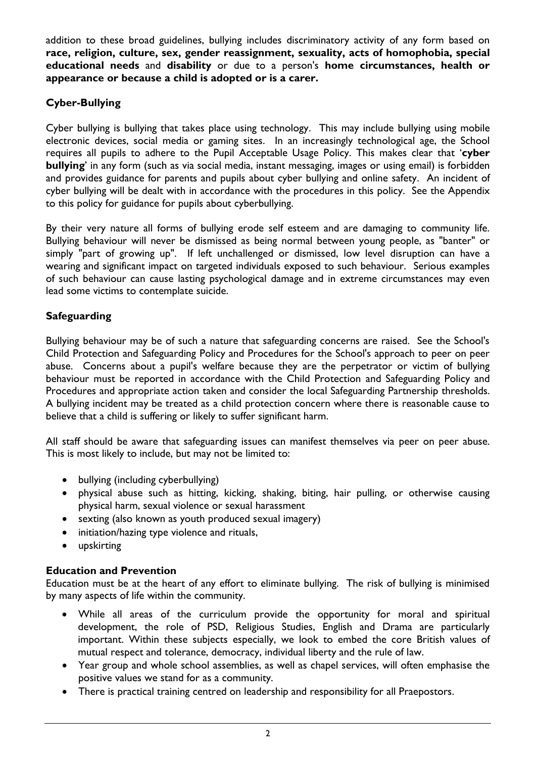addition to these broad guidelines, bullying includes discriminatory activity of any form based on **race, religion, culture, sex, gender reassignment, sexuality, acts of homophobia, special educational needs** and **disability** or due to a person's **home circumstances, health or appearance or because a child is adopted or is a carer.** 

# **Cyber-Bullying**

Cyber bullying is bullying that takes place using technology. This may include bullying using mobile electronic devices, social media or gaming sites. In an increasingly technological age, the School requires all pupils to adhere to the Pupil Acceptable Usage Policy. This makes clear that '**cyber bullying**' in any form (such as via social media, instant messaging, images or using email) is forbidden and provides guidance for parents and pupils about cyber bullying and online safety. An incident of cyber bullying will be dealt with in accordance with the procedures in this policy. See the Appendix to this policy for guidance for pupils about cyberbullying.

By their very nature all forms of bullying erode self esteem and are damaging to community life. Bullying behaviour will never be dismissed as being normal between young people, as "banter" or simply "part of growing up". If left unchallenged or dismissed, low level disruption can have a wearing and significant impact on targeted individuals exposed to such behaviour. Serious examples of such behaviour can cause lasting psychological damage and in extreme circumstances may even lead some victims to contemplate suicide.

## **Safeguarding**

Bullying behaviour may be of such a nature that safeguarding concerns are raised. See the School's Child Protection and Safeguarding Policy and Procedures for the School's approach to peer on peer abuse. Concerns about a pupil's welfare because they are the perpetrator or victim of bullying behaviour must be reported in accordance with the Child Protection and Safeguarding Policy and Procedures and appropriate action taken and consider the local Safeguarding Partnership thresholds. A bullying incident may be treated as a child protection concern where there is reasonable cause to believe that a child is suffering or likely to suffer significant harm.

All staff should be aware that safeguarding issues can manifest themselves via peer on peer abuse. This is most likely to include, but may not be limited to:

- bullying (including cyberbullying)
- physical abuse such as hitting, kicking, shaking, biting, hair pulling, or otherwise causing physical harm, sexual violence or sexual harassment
- sexting (also known as youth produced sexual imagery)
- initiation/hazing type violence and rituals,
- upskirting

## **Education and Prevention**

Education must be at the heart of any effort to eliminate bullying. The risk of bullying is minimised by many aspects of life within the community.

- While all areas of the curriculum provide the opportunity for moral and spiritual development, the role of PSD, Religious Studies, English and Drama are particularly important. Within these subjects especially, we look to embed the core British values of mutual respect and tolerance, democracy, individual liberty and the rule of law.
- Year group and whole school assemblies, as well as chapel services, will often emphasise the positive values we stand for as a community.
- There is practical training centred on leadership and responsibility for all Praepostors.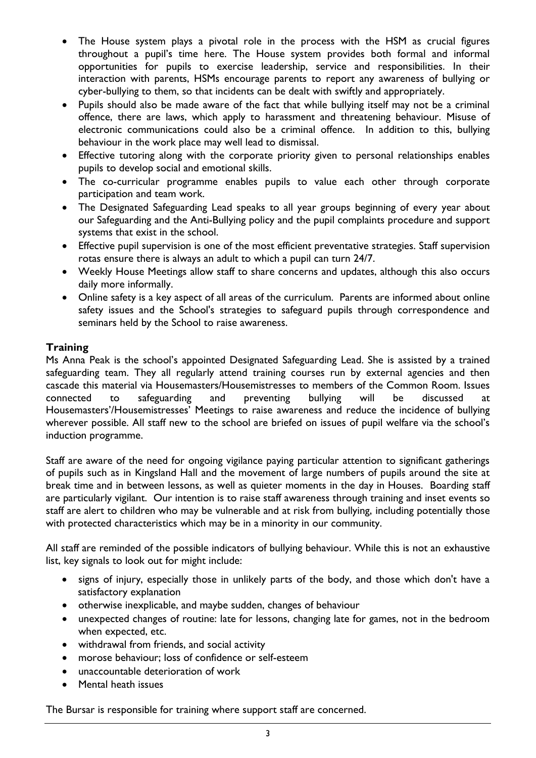- The House system plays a pivotal role in the process with the HSM as crucial figures throughout a pupil's time here. The House system provides both formal and informal opportunities for pupils to exercise leadership, service and responsibilities. In their interaction with parents, HSMs encourage parents to report any awareness of bullying or cyber-bullying to them, so that incidents can be dealt with swiftly and appropriately.
- Pupils should also be made aware of the fact that while bullying itself may not be a criminal offence, there are laws, which apply to harassment and threatening behaviour. Misuse of electronic communications could also be a criminal offence. In addition to this, bullying behaviour in the work place may well lead to dismissal.
- Effective tutoring along with the corporate priority given to personal relationships enables pupils to develop social and emotional skills.
- The co-curricular programme enables pupils to value each other through corporate participation and team work.
- The Designated Safeguarding Lead speaks to all year groups beginning of every year about our Safeguarding and the Anti-Bullying policy and the pupil complaints procedure and support systems that exist in the school.
- Effective pupil supervision is one of the most efficient preventative strategies. Staff supervision rotas ensure there is always an adult to which a pupil can turn 24/7.
- Weekly House Meetings allow staff to share concerns and updates, although this also occurs daily more informally.
- Online safety is a key aspect of all areas of the curriculum. Parents are informed about online safety issues and the School's strategies to safeguard pupils through correspondence and seminars held by the School to raise awareness.

## **Training**

Ms Anna Peak is the school's appointed Designated Safeguarding Lead. She is assisted by a trained safeguarding team. They all regularly attend training courses run by external agencies and then cascade this material via Housemasters/Housemistresses to members of the Common Room. Issues connected to safeguarding and preventing bullying will be discussed at Housemasters'/Housemistresses' Meetings to raise awareness and reduce the incidence of bullying wherever possible. All staff new to the school are briefed on issues of pupil welfare via the school's induction programme.

Staff are aware of the need for ongoing vigilance paying particular attention to significant gatherings of pupils such as in Kingsland Hall and the movement of large numbers of pupils around the site at break time and in between lessons, as well as quieter moments in the day in Houses. Boarding staff are particularly vigilant. Our intention is to raise staff awareness through training and inset events so staff are alert to children who may be vulnerable and at risk from bullying, including potentially those with protected characteristics which may be in a minority in our community.

All staff are reminded of the possible indicators of bullying behaviour. While this is not an exhaustive list, key signals to look out for might include:

- signs of injury, especially those in unlikely parts of the body, and those which don't have a satisfactory explanation
- otherwise inexplicable, and maybe sudden, changes of behaviour
- unexpected changes of routine: late for lessons, changing late for games, not in the bedroom when expected, etc.
- withdrawal from friends, and social activity
- morose behaviour; loss of confidence or self-esteem
- unaccountable deterioration of work
- Mental heath issues

The Bursar is responsible for training where support staff are concerned.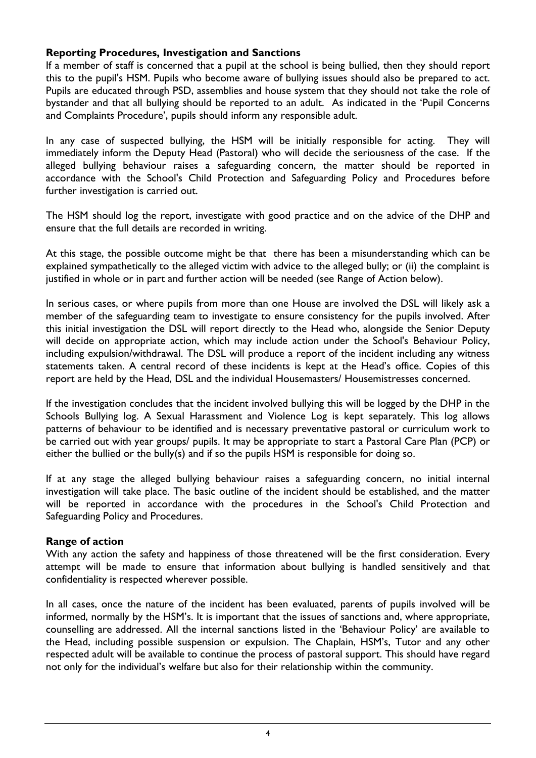## **Reporting Procedures, Investigation and Sanctions**

If a member of staff is concerned that a pupil at the school is being bullied, then they should report this to the pupil's HSM. Pupils who become aware of bullying issues should also be prepared to act. Pupils are educated through PSD, assemblies and house system that they should not take the role of bystander and that all bullying should be reported to an adult. As indicated in the 'Pupil Concerns and Complaints Procedure', pupils should inform any responsible adult.

In any case of suspected bullying, the HSM will be initially responsible for acting. They will immediately inform the Deputy Head (Pastoral) who will decide the seriousness of the case. If the alleged bullying behaviour raises a safeguarding concern, the matter should be reported in accordance with the School's Child Protection and Safeguarding Policy and Procedures before further investigation is carried out.

The HSM should log the report, investigate with good practice and on the advice of the DHP and ensure that the full details are recorded in writing.

At this stage, the possible outcome might be that there has been a misunderstanding which can be explained sympathetically to the alleged victim with advice to the alleged bully; or (ii) the complaint is justified in whole or in part and further action will be needed (see Range of Action below).

In serious cases, or where pupils from more than one House are involved the DSL will likely ask a member of the safeguarding team to investigate to ensure consistency for the pupils involved. After this initial investigation the DSL will report directly to the Head who, alongside the Senior Deputy will decide on appropriate action, which may include action under the School's Behaviour Policy, including expulsion/withdrawal. The DSL will produce a report of the incident including any witness statements taken. A central record of these incidents is kept at the Head's office. Copies of this report are held by the Head, DSL and the individual Housemasters/ Housemistresses concerned.

If the investigation concludes that the incident involved bullying this will be logged by the DHP in the Schools Bullying log. A Sexual Harassment and Violence Log is kept separately. This log allows patterns of behaviour to be identified and is necessary preventative pastoral or curriculum work to be carried out with year groups/ pupils. It may be appropriate to start a Pastoral Care Plan (PCP) or either the bullied or the bully(s) and if so the pupils HSM is responsible for doing so.

If at any stage the alleged bullying behaviour raises a safeguarding concern, no initial internal investigation will take place. The basic outline of the incident should be established, and the matter will be reported in accordance with the procedures in the School's Child Protection and Safeguarding Policy and Procedures.

## **Range of action**

With any action the safety and happiness of those threatened will be the first consideration. Every attempt will be made to ensure that information about bullying is handled sensitively and that confidentiality is respected wherever possible.

In all cases, once the nature of the incident has been evaluated, parents of pupils involved will be informed, normally by the HSM's. It is important that the issues of sanctions and, where appropriate, counselling are addressed. All the internal sanctions listed in the 'Behaviour Policy' are available to the Head, including possible suspension or expulsion. The Chaplain, HSM's, Tutor and any other respected adult will be available to continue the process of pastoral support. This should have regard not only for the individual's welfare but also for their relationship within the community.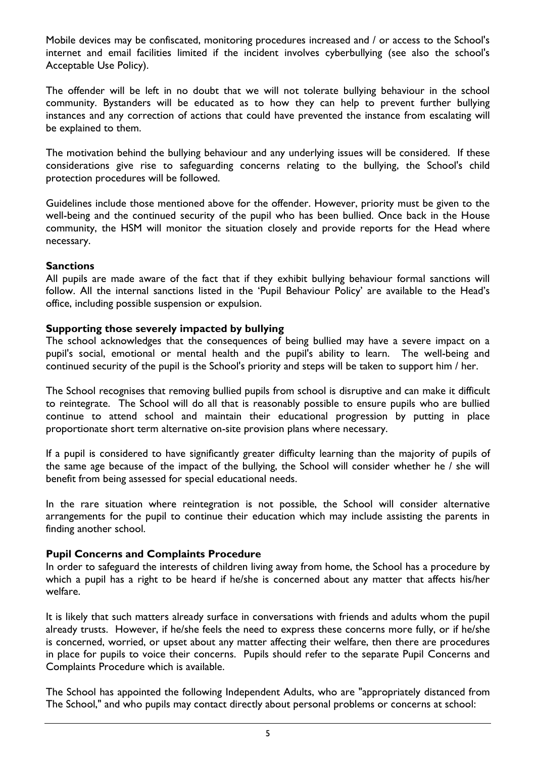Mobile devices may be confiscated, monitoring procedures increased and / or access to the School's internet and email facilities limited if the incident involves cyberbullying (see also the school's Acceptable Use Policy).

The offender will be left in no doubt that we will not tolerate bullying behaviour in the school community. Bystanders will be educated as to how they can help to prevent further bullying instances and any correction of actions that could have prevented the instance from escalating will be explained to them.

The motivation behind the bullying behaviour and any underlying issues will be considered. If these considerations give rise to safeguarding concerns relating to the bullying, the School's child protection procedures will be followed.

Guidelines include those mentioned above for the offender. However, priority must be given to the well-being and the continued security of the pupil who has been bullied. Once back in the House community, the HSM will monitor the situation closely and provide reports for the Head where necessary.

## **Sanctions**

All pupils are made aware of the fact that if they exhibit bullying behaviour formal sanctions will follow. All the internal sanctions listed in the 'Pupil Behaviour Policy' are available to the Head's office, including possible suspension or expulsion.

#### **Supporting those severely impacted by bullying**

The school acknowledges that the consequences of being bullied may have a severe impact on a pupil's social, emotional or mental health and the pupil's ability to learn. The well-being and continued security of the pupil is the School's priority and steps will be taken to support him / her.

The School recognises that removing bullied pupils from school is disruptive and can make it difficult to reintegrate. The School will do all that is reasonably possible to ensure pupils who are bullied continue to attend school and maintain their educational progression by putting in place proportionate short term alternative on-site provision plans where necessary.

If a pupil is considered to have significantly greater difficulty learning than the majority of pupils of the same age because of the impact of the bullying, the School will consider whether he / she will benefit from being assessed for special educational needs.

In the rare situation where reintegration is not possible, the School will consider alternative arrangements for the pupil to continue their education which may include assisting the parents in finding another school.

## **Pupil Concerns and Complaints Procedure**

In order to safeguard the interests of children living away from home, the School has a procedure by which a pupil has a right to be heard if he/she is concerned about any matter that affects his/her welfare.

It is likely that such matters already surface in conversations with friends and adults whom the pupil already trusts. However, if he/she feels the need to express these concerns more fully, or if he/she is concerned, worried, or upset about any matter affecting their welfare, then there are procedures in place for pupils to voice their concerns. Pupils should refer to the separate Pupil Concerns and Complaints Procedure which is available.

The School has appointed the following Independent Adults, who are "appropriately distanced from The School," and who pupils may contact directly about personal problems or concerns at school: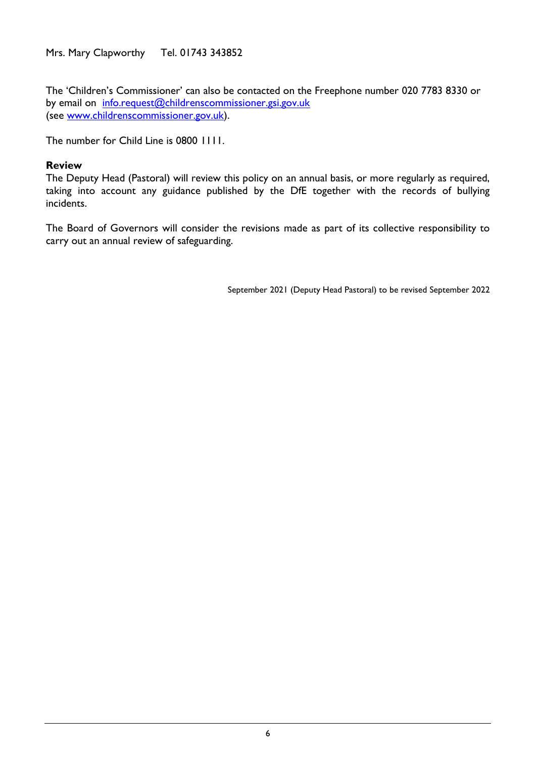Mrs. Mary Clapworthy Tel. 01743 343852

The 'Children's Commissioner' can also be contacted on the Freephone number 020 7783 8330 or by email on [info.request@childrenscommissioner.gsi.gov.uk](mailto:info.request@childrenscommissioner.gsi.gov.uk) (see [www.childrenscommissioner.gov.uk\)](http://www.childrenscommissioner.gov.uk/).

The number for Child Line is 0800 1111.

#### **Review**

The Deputy Head (Pastoral) will review this policy on an annual basis, or more regularly as required, taking into account any guidance published by the DfE together with the records of bullying incidents.

The Board of Governors will consider the revisions made as part of its collective responsibility to carry out an annual review of safeguarding.

September 2021 (Deputy Head Pastoral) to be revised September 2022